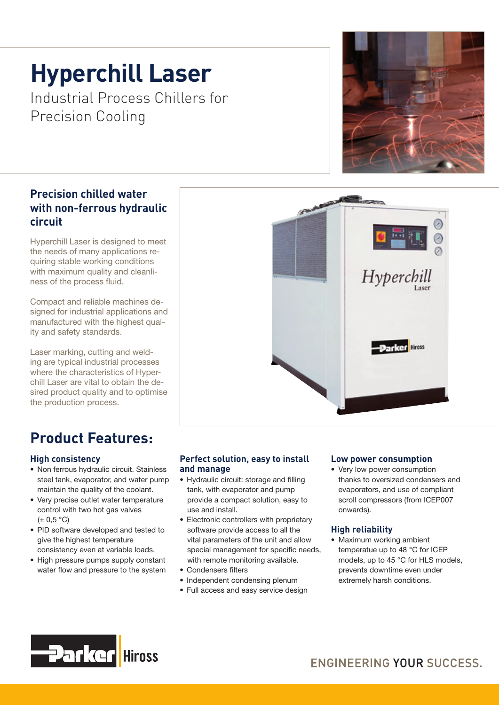# **Hyperchill Laser**

Industrial Process Chillers for Precision Cooling

# **Precision chilled water with non-ferrous hydraulic circuit**

Hyperchill Laser is designed to meet the needs of many applications requiring stable working conditions with maximum quality and cleanliness of the process fluid.

Compact and reliable machines designed for industrial applications and manufactured with the highest quality and safety standards.

Laser marking, cutting and welding are typical industrial processes where the characteristics of Hyperchill Laser are vital to obtain the desired product quality and to optimise the production process.

# **Product Features:**

## **High consistency**

- Non ferrous hydraulic circuit. Stainless steel tank, evaporator, and water pump maintain the quality of the coolant.
- Very precise outlet water temperature control with two hot gas valves  $(+ 0.5 °C)$
- PID software developed and tested to give the highest temperature consistency even at variable loads.
- High pressure pumps supply constant water flow and pressure to the system

**Hiross** 

**Parker** 



- Hydraulic circuit: storage and filling tank, with evaporator and pump provide a compact solution, easy to use and install.
- Electronic controllers with proprietary software provide access to all the vital parameters of the unit and allow special management for specific needs, with remote monitoring available.
- Condensers filters
- Independent condensing plenum
- Full access and easy service design

### **Low power consumption**

• Very low power consumption thanks to oversized condensers and evaporators, and use of compliant scroll compressors (from ICEP007 onwards).

### **High reliability**

• Maximum working ambient temperatue up to 48 °C for ICEP models, up to 45 °C for HLS models, prevents downtime even under extremely harsh conditions.





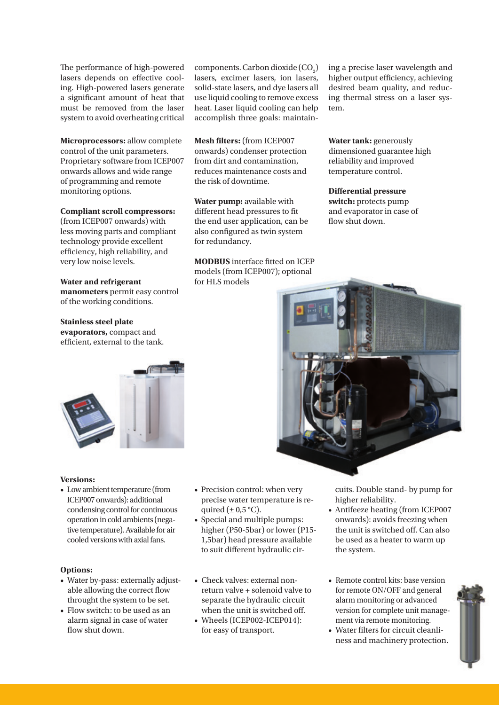The performance of high-powered lasers depends on effective cooling. High-powered lasers generate a significant amount of heat that must be removed from the laser system to avoid overheating critical

**Microprocessors:** allow complete control of the unit parameters. Proprietary software from ICEP007 onwards allows and wide range of programming and remote monitoring options.

#### **Compliant scroll compressors:**

(from ICEP007 onwards) with less moving parts and compliant technology provide excellent efficiency, high reliability, and very low noise levels.

#### **Water and refrigerant**

**manometers** permit easy control of the working conditions.

# **Stainless steel plate evaporators,** compact and

efficient, external to the tank.



#### **Versions:**

• Low ambient temperature (from ICEP007 onwards): additional condensing control for continuous operation in cold ambients (negative temperature). Available for air cooled versions with axial fans.

#### **Options:**

- Water by-pass: externally adjustable allowing the correct flow throught the system to be set.
- Flow switch: to be used as an alarm signal in case of water flow shut down.

 $components$ . Carbon dioxide  $(CO<sub>2</sub>)$ lasers, excimer lasers, ion lasers, solid-state lasers, and dye lasers all use liquid cooling to remove excess heat. Laser liquid cooling can help accomplish three goals: maintain-

**Mesh filters:** (from ICEP007 onwards) condenser protection from dirt and contamination, reduces maintenance costs and the risk of downtime.

**Water pump:** available with different head pressures to fit the end user application, can be also configured as twin system for redundancy.

**MODBUS** interface fitted on ICEP models (from ICEP007); optional for HLS models

ing a precise laser wavelength and higher output efficiency, achieving desired beam quality, and reducing thermal stress on a laser system.

**Water tank:** generously dimensioned guarantee high reliability and improved temperature control.

#### **Differential pressure switch:** protects pump and evaporator in case of flow shut down.



• Precision control: when very precise water temperature is required  $(\pm 0.5 \degree C)$ .

- Special and multiple pumps: higher (P50-5bar) or lower (P15- 1,5bar) head pressure available to suit different hydraulic cir-
- Check valves: external nonreturn valve + solenoid valve to separate the hydraulic circuit when the unit is switched off.
- Wheels (ICEP002-ICEP014): for easy of transport.

cuits. Double stand- by pump for higher reliability.

- Antifeeze heating (from ICEP007 onwards): avoids freezing when the unit is switched off. Can also be used as a heater to warm up the system.
- Remote control kits: base version for remote ON/OFF and general alarm monitoring or advanced version for complete unit management via remote monitoring.
- Water filters for circuit cleanliness and machinery protection.

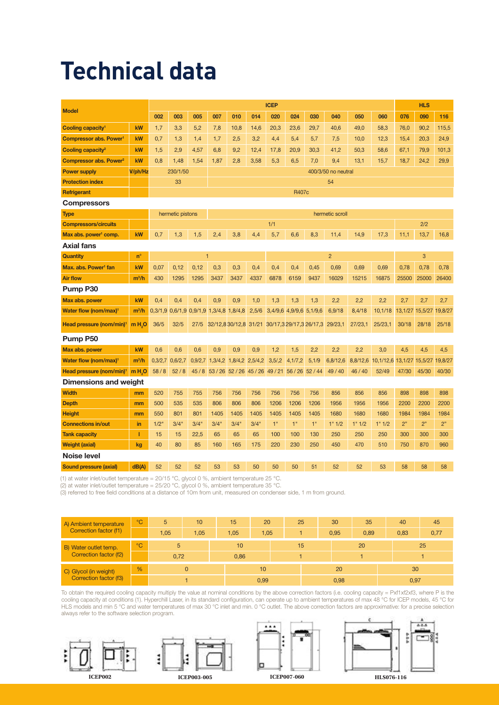# **Technical data**

| <b>Model</b>                                                |                             | <b>ICEP</b>         |                                     |                   |                                                                    |      |       |                           |                         |                                             |                |         | <b>HLS</b>                                 |                         |       |       |
|-------------------------------------------------------------|-----------------------------|---------------------|-------------------------------------|-------------------|--------------------------------------------------------------------|------|-------|---------------------------|-------------------------|---------------------------------------------|----------------|---------|--------------------------------------------|-------------------------|-------|-------|
|                                                             |                             | 002                 | 003                                 | 005               | 007                                                                | 010  | 014   | 020                       | 024                     | 030                                         | 040            | 050     | 060                                        | 076                     | 090   | 116   |
| Cooling capacity <sup>1</sup>                               | kW                          | 1,7                 | 3,3                                 | 5,2               | 7,8                                                                | 10,8 | 14,6  | 20,3                      | 23,6                    | 29,7                                        | 40,6           | 49,0    | 58,3                                       | 76,0                    | 90,2  | 115,5 |
| Compressor abs. Power <sup>1</sup>                          | kW                          | 0,7                 | 1,3                                 | 1,4               | 1,7                                                                | 2,5  | 3,2   | 4,4                       | 5,4                     | 5,7                                         | 7,5            | 10,0    | 12,3                                       | 15,4                    | 20,3  | 24,9  |
| Cooling capacity <sup>2</sup>                               | kW                          | 1,5                 | 2,9                                 | 4,57              | 6,8                                                                | 9,2  | 12,4  | 17,8                      | 20,9                    | 30,3                                        | 41,2           | 50,3    | 58,6                                       | 67,1                    | 79,9  | 101,3 |
| Compressor abs. Power <sup>2</sup>                          | kW                          | 0,8                 | 1,48                                | 1,54              | 1,87                                                               | 2,8  | 3,58  | 5,3                       | 6,5                     | 7,0                                         | 9,4            | 13,1    | 15,7                                       | 18,7                    | 24,2  | 29,9  |
| <b>Power supply</b>                                         | V/ph/Hz                     |                     | 230/1/50                            |                   | 400/3/50 no neutral                                                |      |       |                           |                         |                                             |                |         |                                            |                         |       |       |
| <b>Protection index</b>                                     |                             | 54<br>33            |                                     |                   |                                                                    |      |       |                           |                         |                                             |                |         |                                            |                         |       |       |
| Refrigerant                                                 |                             | R407c               |                                     |                   |                                                                    |      |       |                           |                         |                                             |                |         |                                            |                         |       |       |
| <b>Compressors</b>                                          |                             |                     |                                     |                   |                                                                    |      |       |                           |                         |                                             |                |         |                                            |                         |       |       |
| <b>Type</b>                                                 |                             |                     | hermetic pistons<br>hermetic scroll |                   |                                                                    |      |       |                           |                         |                                             |                |         |                                            |                         |       |       |
| <b>Compressors/circuits</b>                                 |                             |                     |                                     |                   |                                                                    |      |       | 1/1                       |                         |                                             |                |         |                                            | 2/2                     |       |       |
| Max abs. power <sup>1</sup> comp.                           | kW                          | 0.7                 | 1,3                                 | 1,5               | 2.4                                                                | 3.8  | 4,4   | 5,7                       | 6,6                     | 8,3                                         | 11,4           | 14,9    | 17,3                                       | 11.1                    | 13,7  | 16.8  |
| <b>Axial fans</b>                                           |                             |                     |                                     |                   |                                                                    |      |       |                           |                         |                                             |                |         |                                            |                         |       |       |
| Quantity                                                    | $n^{\circ}$                 |                     |                                     | $\overline{1}$    |                                                                    |      |       |                           |                         |                                             | $\overline{2}$ |         |                                            |                         | 3     |       |
| Max. abs. Power <sup>1</sup> fan                            | kW                          | 0,07                | 0,12                                | 0,12              | 0,3                                                                | 0,3  | 0,4   | 0,4                       | 0,4                     | 0,45                                        | 0,69           | 0,69    | 0.69                                       | 0,78                    | 0,78  | 0,78  |
| <b>Air flow</b>                                             | $m^3/h$                     | 430                 | 1295                                | 1295              | 3437                                                               | 3437 | 4337  | 6878                      | 6159                    | 9437                                        | 16029          | 15215   | 16875                                      | 25500                   | 25000 | 26400 |
| Pump P30                                                    |                             |                     |                                     |                   |                                                                    |      |       |                           |                         |                                             |                |         |                                            |                         |       |       |
| Max abs. power                                              | kW                          | 0,4                 | 0,4                                 | 0,4               | 0,9                                                                | 0,9  | 1,0   | 1,3                       | 1,3                     | 1,3                                         | 2,2            | 2,2     | 2,2                                        | 2,7                     | 2,7   | 2,7   |
| Water flow (nom/max) <sup>1</sup>                           | $m^3/h$                     |                     |                                     |                   | 0,3/1,9 0,6/1,9 0,9/1,9 1,3/4,8 1,8/4,8                            |      | 2,5/6 |                           | 3,4/9,6 4,9/9,6 5,1/9,6 |                                             | 6,9/18         | 8,4/18  | 10,1/18                                    | 13,1/27 15,5/27 19,8/27 |       |       |
| Head pressure (nom/min) <sup>1</sup>                        | m <sub>H<sub>2</sub>O</sub> | 36/5                | 32/5                                | 27/5              |                                                                    |      |       |                           |                         | 32/12,830/12,8 31/21 30/17,329/17,3 26/17,3 | 29/23,1        | 27/23,1 | 25/23,1                                    | 30/18                   | 28/18 | 25/18 |
| Pump P50                                                    |                             |                     |                                     |                   |                                                                    |      |       |                           |                         |                                             |                |         |                                            |                         |       |       |
| Max abs. power                                              | kW                          | 0,6                 | 0,6                                 | 0,6               | 0,9                                                                | 0,9  | 0,9   | 1,2                       | 1,5                     | 2,2                                         | 2,2            | 2,2     | 3,0                                        | 4,5                     | 4,5   | 4,5   |
| Water flow (nom/max) <sup>1</sup>                           | $m^3/h$                     | $0,3/2,7$ $0,6/2,7$ |                                     |                   | 0,9/2,7 1,3/4,2 1,8/4,2 2,5/4,2                                    |      |       | 3,5/2                     | 4,1/7,2                 | 5,1/9                                       | 6,8/12,6       |         | 8,8/12,6 10,1/12,6 13,1/27 15,5/27 19,8/27 |                         |       |       |
| Head pressure (nom/min) <sup>1</sup>                        | m H <sub>2</sub> O          | 58/8                | 52/8                                |                   | 45 / 8   53 / 26   52 / 26   45 / 26   49 / 21   56 / 26   52 / 44 |      |       |                           |                         |                                             | 49/40          | 46/40   | 52/49                                      | 47/30                   | 45/30 | 40/30 |
| Dimensions and weight                                       |                             |                     |                                     |                   |                                                                    |      |       |                           |                         |                                             |                |         |                                            |                         |       |       |
| <b>Width</b>                                                | mm                          | 520                 | 755                                 | 755               | 756                                                                | 756  | 756   | 756                       | 756                     | 756                                         | 856            | 856     | 856                                        | 898                     | 898   | 898   |
| <b>Depth</b>                                                | mm                          | 500                 | 535                                 | 535               | 806                                                                | 806  | 806   | 1206                      | 1206                    | 1206                                        | 1956           | 1956    | 1956                                       | 2200                    | 2200  | 2200  |
| <b>Height</b>                                               | mm                          | 550                 | 801                                 | 801               | 1405                                                               | 1405 | 1405  | 1405                      | 1405                    | 1405                                        | 1680           | 1680    | 1680                                       | 1984                    | 1984  | 1984  |
| <b>Connections in/out</b>                                   | in                          | 1/2"                | 3/4"                                | 3/4"              | 3/4"                                                               | 3/4" | 3/4"  | 1"                        | 1"                      | 1"                                          | 1" 1/2         | 1" 1/2  | 1" 1/2                                     | 2"                      | 2"    | 2"    |
| <b>Tank capacity</b>                                        | т                           | 15                  | 15                                  | 22,5              | 65                                                                 | 65   | 65    | 100                       | 100                     | 130                                         | 250            | 250     | 250                                        | 300                     | 300   | 300   |
| <b>Weight (axial)</b>                                       | kg                          | 40                  | 80                                  | 85                | 160                                                                | 165  | 175   | 220                       | 230                     | 250                                         | 450            | 470     | 510                                        | 750                     | 870   | 960   |
| <b>Noise level</b>                                          |                             |                     |                                     |                   |                                                                    |      |       |                           |                         |                                             |                |         |                                            |                         |       |       |
| <b>Sound pressure (axial)</b>                               | dB(A)                       | 52                  | 52                                  | 52                | 53                                                                 | 53   | 50    | 50                        | 50                      | 51                                          | 52             | 52      | 53                                         | 58                      | 58    | 58    |
| ARNI LE SI STELETIS NELLE ALS SERVICES EN ESTE ESTE EN 1990 |                             | 004500              |                                     | $-1$ $-1$ $0$ $0$ |                                                                    |      |       | $\sim$<br>$\cap$ $\Gamma$ |                         |                                             |                |         |                                            |                         |       |       |

(1) at water inlet/outlet temperature =  $20/15$  °C, glycol 0 %, ambient temperature 25 °C.

(2) at water inlet/outlet temperature = 25/20 °C, glycol 0 %, ambient temperature 35 °C.

(3) referred to free field conditions at a distance of 10m from unit, measured on condenser side, 1 m from ground.

| A) Ambient temperature<br>Correction factor (f1) | $^{\circ}$ C  | 5<br>10 |          | 15   | 20   | 25 |  | 30   | 35   |  | 40   | 45   |  |
|--------------------------------------------------|---------------|---------|----------|------|------|----|--|------|------|--|------|------|--|
|                                                  |               | 1,05    | 1,05     | 1,05 | 1,05 |    |  | 0,95 | 0,89 |  | 0,83 | 0,77 |  |
| B) Water outlet temp.                            | PC            | 5       |          | 10   |      | 15 |  |      | 20   |  | 25   |      |  |
| Correction factor (f2)                           |               | 0,72    |          | 0,86 |      |    |  |      |      |  |      |      |  |
| C) Glycol (in weight)<br>Correction factor (f3)  | $\frac{9}{6}$ |         | $\Omega$ |      | 10   |    |  | 20   |      |  | 30   |      |  |
|                                                  |               |         |          |      | 0,99 |    |  | 0,98 |      |  | 0,97 |      |  |

To obtain the required cooling capacity multiply the value at nominal conditions by the above correction factors (i.e. cooling capacity = Pxf1xf2xf3, where P is the cooling capacity at conditions (1). Hyperchill Laser, in its standard configuration, can operate up to ambient temperatures of max 48 °C for ICEP models, 45 °C for HLS models and min 5 °C and water temperatures of max 30 °C inlet and min. 0 °C outlet. The above correction factors are approximative: for a precise selection always refer to the software selection program.